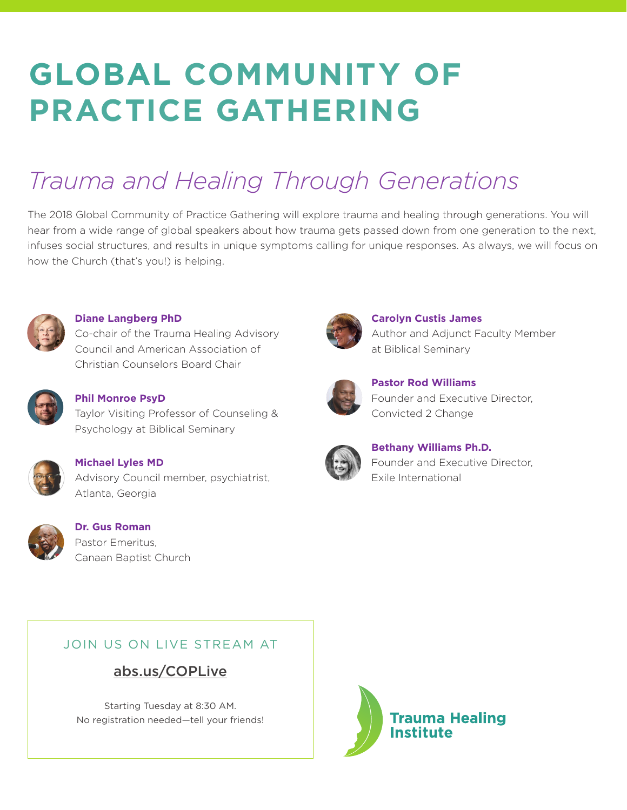# **GLOBAL COMMUNITY OF PRACTICE GATHERING**

# *Trauma and Healing Through Generations*

The 2018 Global Community of Practice Gathering will explore trauma and healing through generations. You will hear from a wide range of global speakers about how trauma gets passed down from one generation to the next, infuses social structures, and results in unique symptoms calling for unique responses. As always, we will focus on how the Church (that's you!) is helping.



**Diane Langberg PhD**

Co-chair of the Trauma Healing Advisory Council and American Association of Christian Counselors Board Chair



**Phil Monroe PsyD** Taylor Visiting Professor of Counseling &

Psychology at Biblical Seminary



**Michael Lyles MD** Advisory Council member, psychiatrist, Atlanta, Georgia



**Dr. Gus Roman** Pastor Emeritus, Canaan Baptist Church



**Carolyn Custis James** Author and Adjunct Faculty Member at Biblical Seminary



**Pastor Rod Williams** Founder and Executive Director, Convicted 2 Change



**Bethany Williams Ph.D.** Founder and Executive Director, Exile International

#### JOIN US ON LIVE STREAM AT

## abs.us/COPLive

Starting Tuesday at 8:30 AM. No registration needed—tell your friends!